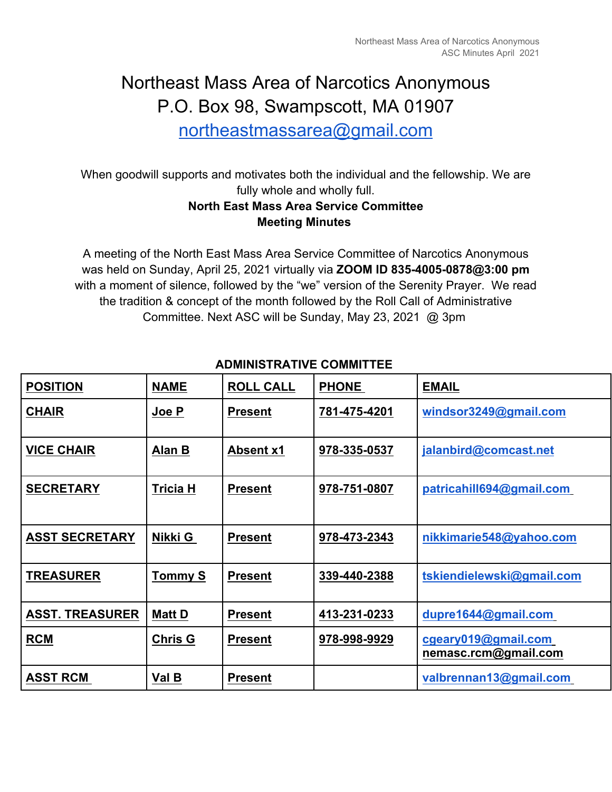# Northeast Mass Area of Narcotics Anonymous P.O. Box 98, Swampscott, MA 01907

northeastmassarea@gmail.com

When goodwill supports and motivates both the individual and the fellowship. We are fully whole and wholly full.

## **North East Mass Area Service Committee Meeting Minutes**

A meeting of the North East Mass Area Service Committee of Narcotics Anonymous was held on Sunday, April 25, 2021 virtually via **ZOOM ID 835-4005-0878@3:00 pm**  with a moment of silence, followed by the "we" version of the Serenity Prayer. We read the tradition & concept of the month followed by the Roll Call of Administrative Committee. Next ASC will be Sunday, May 23, 2021 @ 3pm

| <b>POSITION</b>        | <b>NAME</b>     | <b>ROLL CALL</b> | <b>PHONE</b> | <b>EMAIL</b>                                |
|------------------------|-----------------|------------------|--------------|---------------------------------------------|
| <b>CHAIR</b>           | Joe P           | <b>Present</b>   | 781-475-4201 | windsor3249@gmail.com                       |
| <b>VICE CHAIR</b>      | Alan B          | <b>Absent x1</b> | 978-335-0537 | jalanbird@comcast.net                       |
| <b>SECRETARY</b>       | <b>Tricia H</b> | <b>Present</b>   | 978-751-0807 | patricahill694@gmail.com                    |
| <b>ASST SECRETARY</b>  | Nikki G         | <b>Present</b>   | 978-473-2343 | nikkimarie548@yahoo.com                     |
| <b>TREASURER</b>       | <b>Tommy S</b>  | <b>Present</b>   | 339-440-2388 | tskiendielewski@gmail.com                   |
| <b>ASST. TREASURER</b> | <b>Matt D</b>   | <b>Present</b>   | 413-231-0233 | dupre1644@gmail.com                         |
| <b>RCM</b>             | <b>Chris G</b>  | <b>Present</b>   | 978-998-9929 | cgeary019@gmail.com<br>nemasc.rcm@gmail.com |
| <b>ASST RCM</b>        | Val B           | <b>Present</b>   |              | valbrennan13@gmail.com                      |

## **ADMINISTRATIVE COMMITTEE**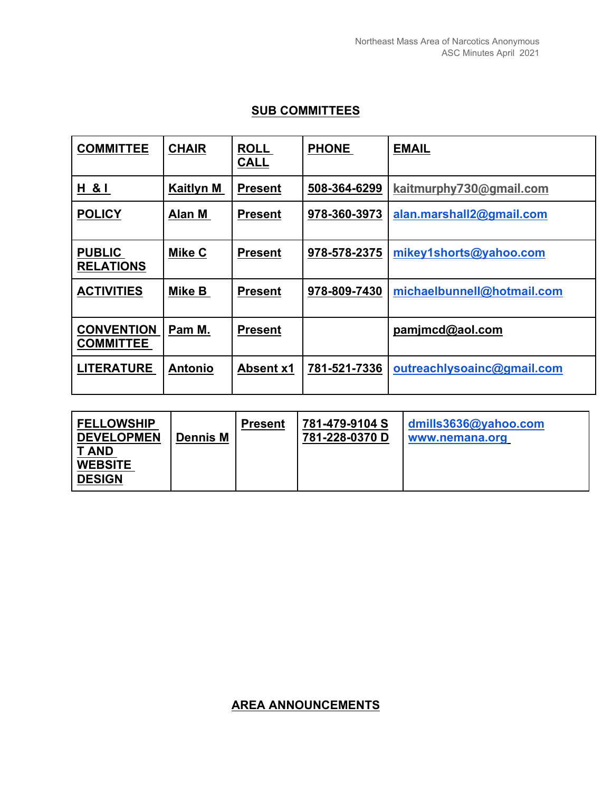#### **SUB COMMITTEES**

| <b>COMMITTEE</b>                      | <b>CHAIR</b>     | <b>ROLL</b><br><b>CALL</b> | <b>PHONE</b> | <b>EMAIL</b>               |
|---------------------------------------|------------------|----------------------------|--------------|----------------------------|
| H & I                                 | <b>Kaitlyn M</b> | <b>Present</b>             | 508-364-6299 | kaitmurphy730@gmail.com    |
| <b>POLICY</b>                         | Alan M           | <b>Present</b>             | 978-360-3973 | alan.marshall2@gmail.com   |
| <b>PUBLIC</b><br><b>RELATIONS</b>     | Mike C           | <b>Present</b>             | 978-578-2375 | mikey1shorts@yahoo.com     |
| <b>ACTIVITIES</b>                     | Mike B           | <b>Present</b>             | 978-809-7430 | michaelbunnell@hotmail.com |
| <b>CONVENTION</b><br><b>COMMITTEE</b> | Pam M.           | <b>Present</b>             |              | pamjmcd@aol.com            |
| <b>LITERATURE</b>                     | <b>Antonio</b>   | <b>Absent x1</b>           | 781-521-7336 | outreachlysoainc@gmail.com |

| <b>FELLOWSHIP</b><br><b>DEVELOPMEN</b><br><b>T AND</b><br><b>WEBSITE</b><br><b>DESIGN</b> | <b>Dennis M</b> | <b>Present</b> | 781-479-9104 S<br>781-228-0370 D | dmills3636@yahoo.com<br>www.nemana.org |  |  |  |
|-------------------------------------------------------------------------------------------|-----------------|----------------|----------------------------------|----------------------------------------|--|--|--|
|-------------------------------------------------------------------------------------------|-----------------|----------------|----------------------------------|----------------------------------------|--|--|--|

#### **AREA ANNOUNCEMENTS**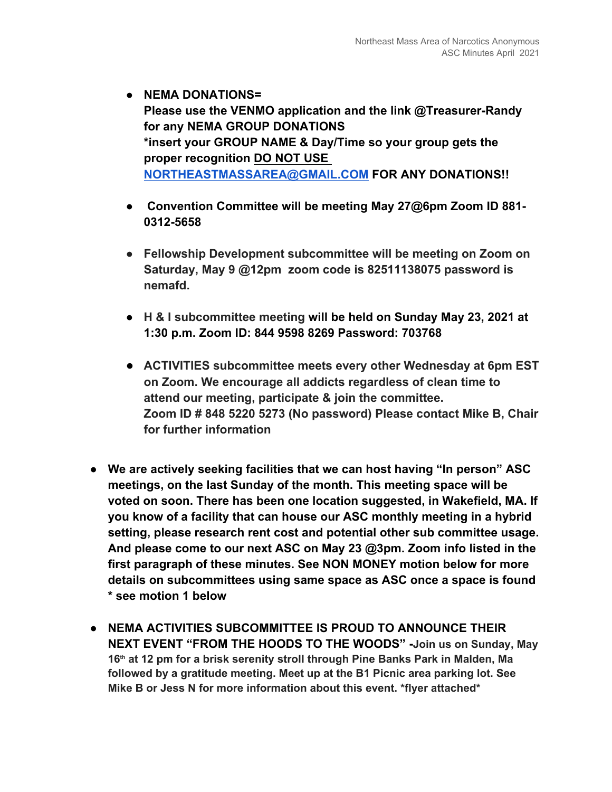- **NEMA DONATIONS= Please use the VENMO application and the link @Treasurer-Randy for any NEMA GROUP DONATIONS \*insert your GROUP NAME & Day/Time so your group gets the proper recognition DO NOT USE NORTHEASTMASSAREA@GMAIL.COM FOR ANY DONATIONS!!**
- ● **Convention Committee will be meeting May 27@6pm Zoom ID 881- 0312-5658**
- **Fellowship Development subcommittee will be meeting on Zoom on Saturday, May 9 @12pm zoom code is 82511138075 password is nemafd.**
- **H & I subcommittee meeting will be held on Sunday May 23, 2021 at 1:30 p.m. Zoom ID: 844 9598 8269 Password: 703768**
- **ACTIVITIES subcommittee meets every other Wednesday at 6pm EST on Zoom. We encourage all addicts regardless of clean time to attend our meeting, participate & join the committee. Zoom ID # 848 5220 5273 (No password) Please contact Mike B, Chair for further information**
- **We are actively seeking facilities that we can host having "In person" ASC meetings, on the last Sunday of the month. This meeting space will be voted on soon. There has been one location suggested, in Wakefield, MA. If you know of a facility that can house our ASC monthly meeting in a hybrid setting, please research rent cost and potential other sub committee usage. And please come to our next ASC on May 23 @3pm. Zoom info listed in the first paragraph of these minutes. See NON MONEY motion below for more details on subcommittees using same space as ASC once a space is found \* see motion 1 below**
- **NEMA ACTIVITIES SUBCOMMITTEE IS PROUD TO ANNOUNCE THEIR NEXT EVENT "FROM THE HOODS TO THE WOODS" -Join us on Sunday, May 16th at 12 pm for a brisk serenity stroll through Pine Banks Park in Malden, Ma followed by a gratitude meeting. Meet up at the B1 Picnic area parking lot. See Mike B or Jess N for more information about this event. \*flyer attached\***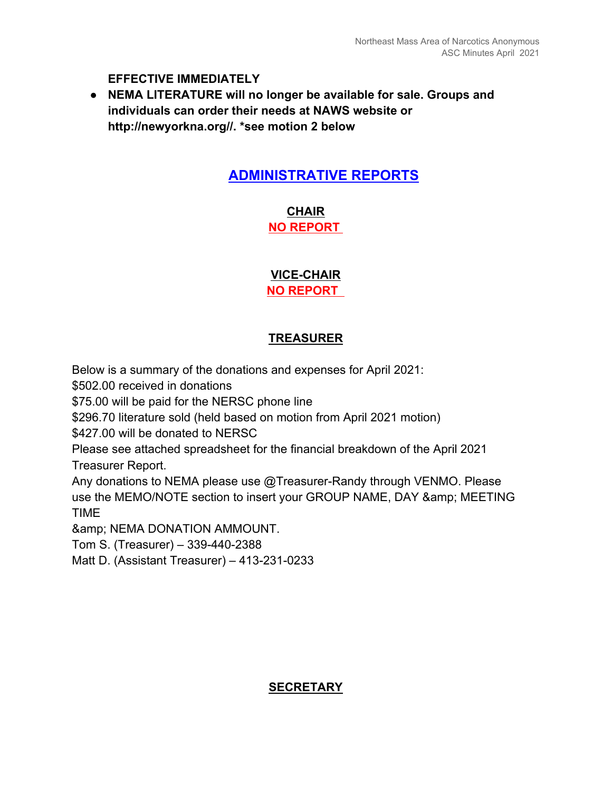**EFFECTIVE IMMEDIATELY** 

● **NEMA LITERATURE will no longer be available for sale. Groups and individuals can order their needs at NAWS website or http://newyorkna.org//. \*see motion 2 below** 

## **ADMINISTRATIVE REPORTS**

**CHAIR NO REPORT** 

**VICE-CHAIR NO REPORT** 

#### **TREASURER**

Below is a summary of the donations and expenses for April 2021:

\$502.00 received in donations

\$75.00 will be paid for the NERSC phone line

\$296.70 literature sold (held based on motion from April 2021 motion)

\$427.00 will be donated to NERSC

Please see attached spreadsheet for the financial breakdown of the April 2021 Treasurer Report.

Any donations to NEMA please use @Treasurer-Randy through VENMO. Please use the MEMO/NOTE section to insert your GROUP NAME, DAY & amp; MEETING TIME

& amp; NEMA DONATION AMMOUNT.

Tom S. (Treasurer) – 339-440-2388

Matt D. (Assistant Treasurer) – 413-231-0233

#### **SECRETARY**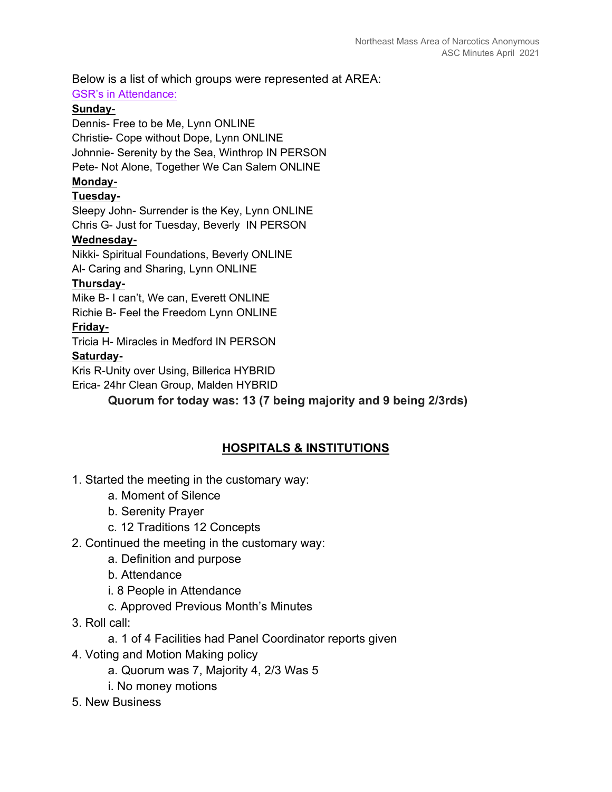Below is a list of which groups were represented at AREA:

#### GSR's in Attendance:

#### **Sunday**-

Dennis- Free to be Me, Lynn ONLINE Christie- Cope without Dope, Lynn ONLINE Johnnie- Serenity by the Sea, Winthrop IN PERSON Pete- Not Alone, Together We Can Salem ONLINE

## **Monday-**

#### **Tuesday-**

Sleepy John- Surrender is the Key, Lynn ONLINE Chris G- Just for Tuesday, Beverly IN PERSON

#### **Wednesday-**

Nikki- Spiritual Foundations, Beverly ONLINE

Al- Caring and Sharing, Lynn ONLINE

#### **Thursday-**

Mike B- I can't, We can, Everett ONLINE

Richie B- Feel the Freedom Lynn ONLINE

#### **Friday-**

Tricia H- Miracles in Medford IN PERSON

#### **Saturday-**

Kris R-Unity over Using, Billerica HYBRID

Erica- 24hr Clean Group, Malden HYBRID

**Quorum for today was: 13 (7 being majority and 9 being 2/3rds)** 

## **HOSPITALS & INSTITUTIONS**

#### 1. Started the meeting in the customary way:

- a. Moment of Silence
- b. Serenity Prayer
- c. 12 Traditions 12 Concepts

#### 2. Continued the meeting in the customary way:

- a. Definition and purpose
- b. Attendance
- i. 8 People in Attendance
- c. Approved Previous Month's Minutes
- 3. Roll call:
	- a. 1 of 4 Facilities had Panel Coordinator reports given
- 4. Voting and Motion Making policy
	- a. Quorum was 7, Majority 4, 2/3 Was 5
	- i. No money motions
- 5. New Business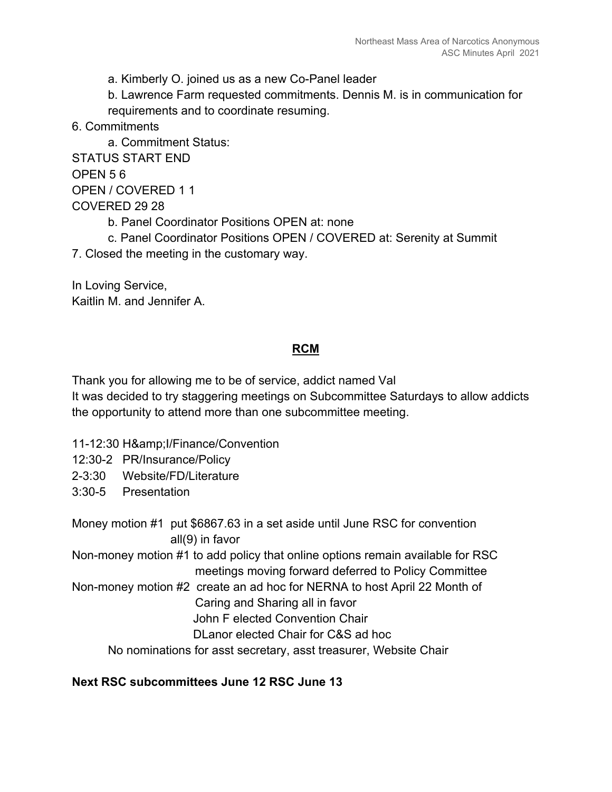a. Kimberly O. joined us as a new Co-Panel leader

b. Lawrence Farm requested commitments. Dennis M. is in communication for requirements and to coordinate resuming.

6. Commitments

a. Commitment Status: STATUS START END OPEN 5 6 OPEN / COVERED 1 1 COVERED 29 28 b. Panel Coordinator Positions OPEN at: none c. Panel Coordinator Positions OPEN / COVERED at: Serenity at Summit 7. Closed the meeting in the customary way.

In Loving Service, Kaitlin M. and Jennifer A.

#### **RCM**

Thank you for allowing me to be of service, addict named Val It was decided to try staggering meetings on Subcommittee Saturdays to allow addicts the opportunity to attend more than one subcommittee meeting.

11-12:30 H& I/Finance/Convention

12:30-2 PR/Insurance/Policy

2-3:30 Website/FD/Literature

3:30-5 Presentation

Money motion #1 put \$6867.63 in a set aside until June RSC for convention all(9) in favor

Non-money motion #1 to add policy that online options remain available for RSC meetings moving forward deferred to Policy Committee

- Non-money motion #2 create an ad hoc for NERNA to host April 22 Month of
	- Caring and Sharing all in favor

John F elected Convention Chair

DLanor elected Chair for C&S ad hoc

No nominations for asst secretary, asst treasurer, Website Chair

#### **Next RSC subcommittees June 12 RSC June 13**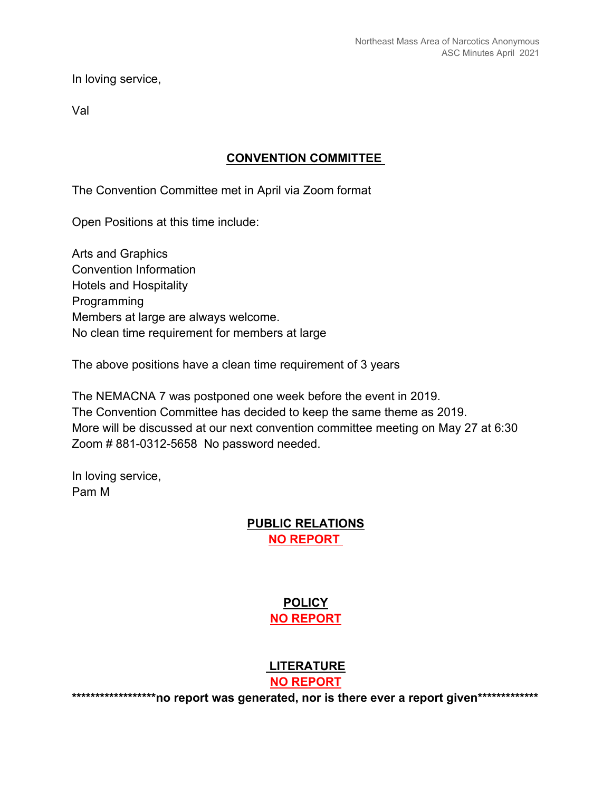In loving service,

Val

#### **CONVENTION COMMITTEE**

The Convention Committee met in April via Zoom format

Open Positions at this time include:

Arts and Graphics Convention Information Hotels and Hospitality Programming Members at large are always welcome. No clean time requirement for members at large

The above positions have a clean time requirement of 3 years

The NEMACNA 7 was postponed one week before the event in 2019. The Convention Committee has decided to keep the same theme as 2019. More will be discussed at our next convention committee meeting on May 27 at 6:30 Zoom # 881-0312-5658 No password needed.

In loving service, Pam M

#### **PUBLIC RELATIONS NO REPORT**

## **POLICY NO REPORT**

#### **LITERATURE**

**NO REPORT**

\*\*\*\*\*\*\*\*\*\*\*\*\*\*\*\*\*\*\*\*\*\*no report was generated, nor is there ever a report given\*\*\*\*\*\*\*\*\*\*\*\*\*\*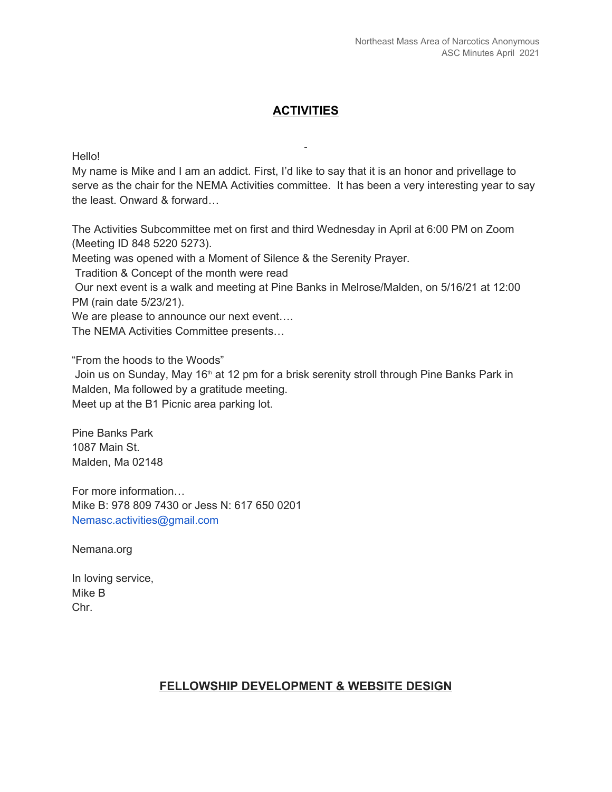#### **ACTIVITIES**

Hello!

My name is Mike and I am an addict. First, I'd like to say that it is an honor and privellage to serve as the chair for the NEMA Activities committee. It has been a very interesting year to say the least. Onward & forward…

The Activities Subcommittee met on first and third Wednesday in April at 6:00 PM on Zoom (Meeting ID 848 5220 5273).

Meeting was opened with a Moment of Silence & the Serenity Prayer.

Tradition & Concept of the month were read

 Our next event is a walk and meeting at Pine Banks in Melrose/Malden, on 5/16/21 at 12:00 PM (rain date 5/23/21).

We are please to announce our next event....

The NEMA Activities Committee presents…

"From the hoods to the Woods"

Join us on Sunday, May 16<sup>th</sup> at 12 pm for a brisk serenity stroll through Pine Banks Park in Malden, Ma followed by a gratitude meeting.

Meet up at the B1 Picnic area parking lot.

Pine Banks Park 1087 Main St. Malden, Ma 02148

For more information… Mike B: 978 809 7430 or Jess N: 617 650 0201 Nemasc.activities@gmail.com

Nemana.org

In loving service, Mike B Chr.

#### **FELLOWSHIP DEVELOPMENT & WEBSITE DESIGN**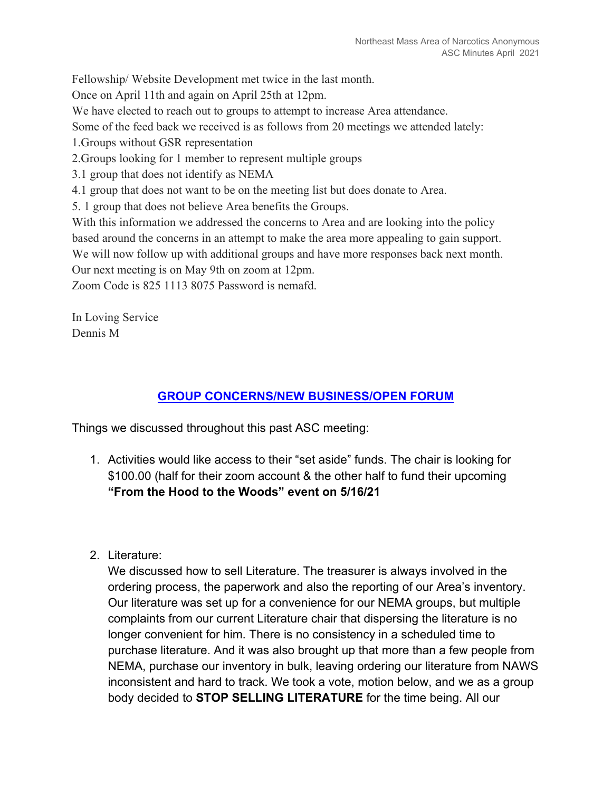Fellowship/ Website Development met twice in the last month.

Once on April 11th and again on April 25th at 12pm.

We have elected to reach out to groups to attempt to increase Area attendance.

Some of the feed back we received is as follows from 20 meetings we attended lately:

- 1.Groups without GSR representation
- 2.Groups looking for 1 member to represent multiple groups
- 3.1 group that does not identify as NEMA
- 4.1 group that does not want to be on the meeting list but does donate to Area.
- 5. 1 group that does not believe Area benefits the Groups.

With this information we addressed the concerns to Area and are looking into the policy based around the concerns in an attempt to make the area more appealing to gain support. We will now follow up with additional groups and have more responses back next month. Our next meeting is on May 9th on zoom at 12pm.

Zoom Code is 825 1113 8075 Password is nemafd.

In Loving Service Dennis M

#### **GROUP CONCERNS/NEW BUSINESS/OPEN FORUM**

Things we discussed throughout this past ASC meeting:

- 1. Activities would like access to their "set aside" funds. The chair is looking for \$100.00 (half for their zoom account & the other half to fund their upcoming **"From the Hood to the Woods" event on 5/16/21**
- 2. Literature:

We discussed how to sell Literature. The treasurer is always involved in the ordering process, the paperwork and also the reporting of our Area's inventory. Our literature was set up for a convenience for our NEMA groups, but multiple complaints from our current Literature chair that dispersing the literature is no longer convenient for him. There is no consistency in a scheduled time to purchase literature. And it was also brought up that more than a few people from NEMA, purchase our inventory in bulk, leaving ordering our literature from NAWS inconsistent and hard to track. We took a vote, motion below, and we as a group body decided to **STOP SELLING LITERATURE** for the time being. All our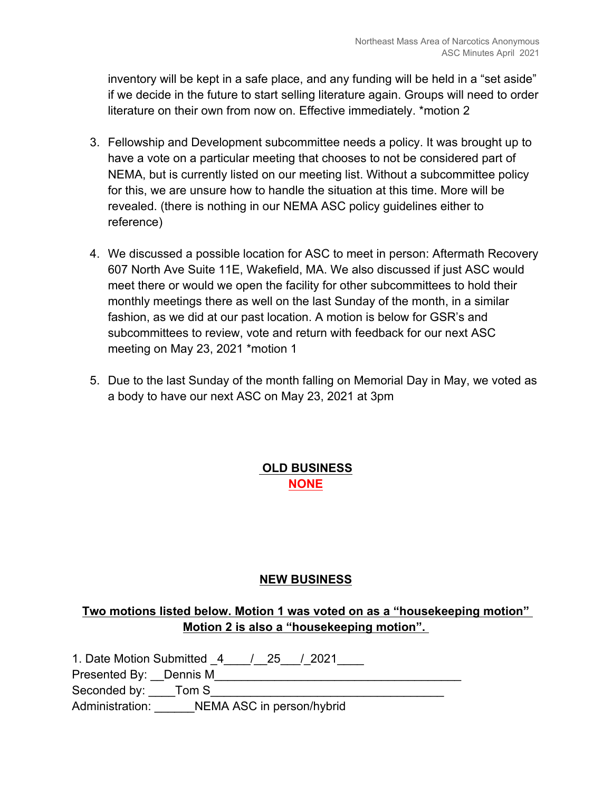inventory will be kept in a safe place, and any funding will be held in a "set aside" if we decide in the future to start selling literature again. Groups will need to order literature on their own from now on. Effective immediately. \*motion 2

- 3. Fellowship and Development subcommittee needs a policy. It was brought up to have a vote on a particular meeting that chooses to not be considered part of NEMA, but is currently listed on our meeting list. Without a subcommittee policy for this, we are unsure how to handle the situation at this time. More will be revealed. (there is nothing in our NEMA ASC policy guidelines either to reference)
- 4. We discussed a possible location for ASC to meet in person: Aftermath Recovery 607 North Ave Suite 11E, Wakefield, MA. We also discussed if just ASC would meet there or would we open the facility for other subcommittees to hold their monthly meetings there as well on the last Sunday of the month, in a similar fashion, as we did at our past location. A motion is below for GSR's and subcommittees to review, vote and return with feedback for our next ASC meeting on May 23, 2021 \*motion 1
- 5. Due to the last Sunday of the month falling on Memorial Day in May, we voted as a body to have our next ASC on May 23, 2021 at 3pm

## **OLD BUSINESS NONE**

#### **NEW BUSINESS**

#### **Two motions listed below. Motion 1 was voted on as a "housekeeping motion" Motion 2 is also a "housekeeping motion".**

1. Date Motion Submitted \_4 \_\_\_\_ / \_\_ 25 \_\_\_ / \_2021 \_\_\_\_\_ Presented By: Dennis M

Seconded by: \_\_\_\_Tom S\_\_\_\_\_\_\_\_ Administration: **NEMA ASC in person/hybrid**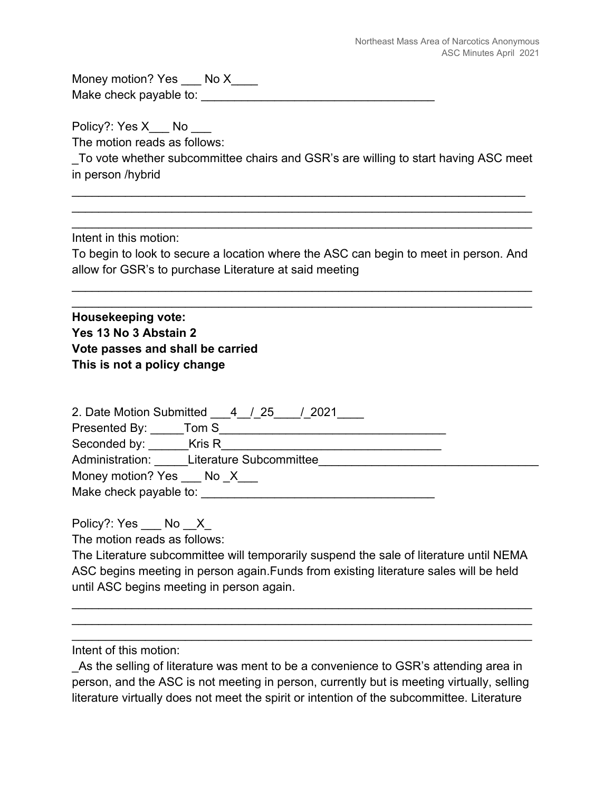Money motion? Yes \_\_\_ No X\_\_\_\_ Make check payable to: \_\_\_\_\_\_\_\_\_\_\_\_\_\_\_\_\_\_\_\_\_\_\_\_\_\_\_\_\_\_\_\_\_\_\_

Policy?: Yes X \_\_ No The motion reads as follows:

\_To vote whether subcommittee chairs and GSR's are willing to start having ASC meet  $\blacksquare$  in person /hybrid  $\blacksquare$ 

 $\mathcal{L}_\text{max} = \mathcal{L}_\text{max} = \mathcal{L}_\text{max} = \mathcal{L}_\text{max} = \mathcal{L}_\text{max} = \mathcal{L}_\text{max} = \mathcal{L}_\text{max} = \mathcal{L}_\text{max} = \mathcal{L}_\text{max} = \mathcal{L}_\text{max} = \mathcal{L}_\text{max} = \mathcal{L}_\text{max} = \mathcal{L}_\text{max} = \mathcal{L}_\text{max} = \mathcal{L}_\text{max} = \mathcal{L}_\text{max} = \mathcal{L}_\text{max} = \mathcal{L}_\text{max} = \mathcal{$  $\mathcal{L}_\text{max} = \mathcal{L}_\text{max} = \mathcal{L}_\text{max} = \mathcal{L}_\text{max} = \mathcal{L}_\text{max} = \mathcal{L}_\text{max} = \mathcal{L}_\text{max} = \mathcal{L}_\text{max} = \mathcal{L}_\text{max} = \mathcal{L}_\text{max} = \mathcal{L}_\text{max} = \mathcal{L}_\text{max} = \mathcal{L}_\text{max} = \mathcal{L}_\text{max} = \mathcal{L}_\text{max} = \mathcal{L}_\text{max} = \mathcal{L}_\text{max} = \mathcal{L}_\text{max} = \mathcal{$ 

 $\mathcal{L}_\text{max}$  and  $\mathcal{L}_\text{max}$  and  $\mathcal{L}_\text{max}$  and  $\mathcal{L}_\text{max}$  and  $\mathcal{L}_\text{max}$  and  $\mathcal{L}_\text{max}$ 

 $\mathcal{L}_\text{max} = \mathcal{L}_\text{max} = \mathcal{L}_\text{max} = \mathcal{L}_\text{max} = \mathcal{L}_\text{max} = \mathcal{L}_\text{max} = \mathcal{L}_\text{max} = \mathcal{L}_\text{max} = \mathcal{L}_\text{max} = \mathcal{L}_\text{max} = \mathcal{L}_\text{max} = \mathcal{L}_\text{max} = \mathcal{L}_\text{max} = \mathcal{L}_\text{max} = \mathcal{L}_\text{max} = \mathcal{L}_\text{max} = \mathcal{L}_\text{max} = \mathcal{L}_\text{max} = \mathcal{$  $\mathcal{L}_\text{max}$  and  $\mathcal{L}_\text{max}$  and  $\mathcal{L}_\text{max}$  and  $\mathcal{L}_\text{max}$  and  $\mathcal{L}_\text{max}$  and  $\mathcal{L}_\text{max}$ 

Intent in this motion:

To begin to look to secure a location where the ASC can begin to meet in person. And allow for GSR's to purchase Literature at said meeting

**Housekeeping vote: Yes 13 No 3 Abstain 2 Vote passes and shall be carried This is not a policy change** 

| 2. Date Motion Submitted 4 / 25<br>/ 2021 |  |
|-------------------------------------------|--|
| Presented By: Tom S                       |  |
| Seconded by: ________Kris R               |  |
| Administration: Literature Subcommittee   |  |
| Money motion? Yes No X                    |  |
| Make check payable to:                    |  |

Policy?: Yes \_\_ No \_\_ X

The motion reads as follows:

The Literature subcommittee will temporarily suspend the sale of literature until NEMA ASC begins meeting in person again.Funds from existing literature sales will be held until ASC begins meeting in person again.

Intent of this motion:

As the selling of literature was ment to be a convenience to GSR's attending area in person, and the ASC is not meeting in person, currently but is meeting virtually, selling literature virtually does not meet the spirit or intention of the subcommittee. Literature